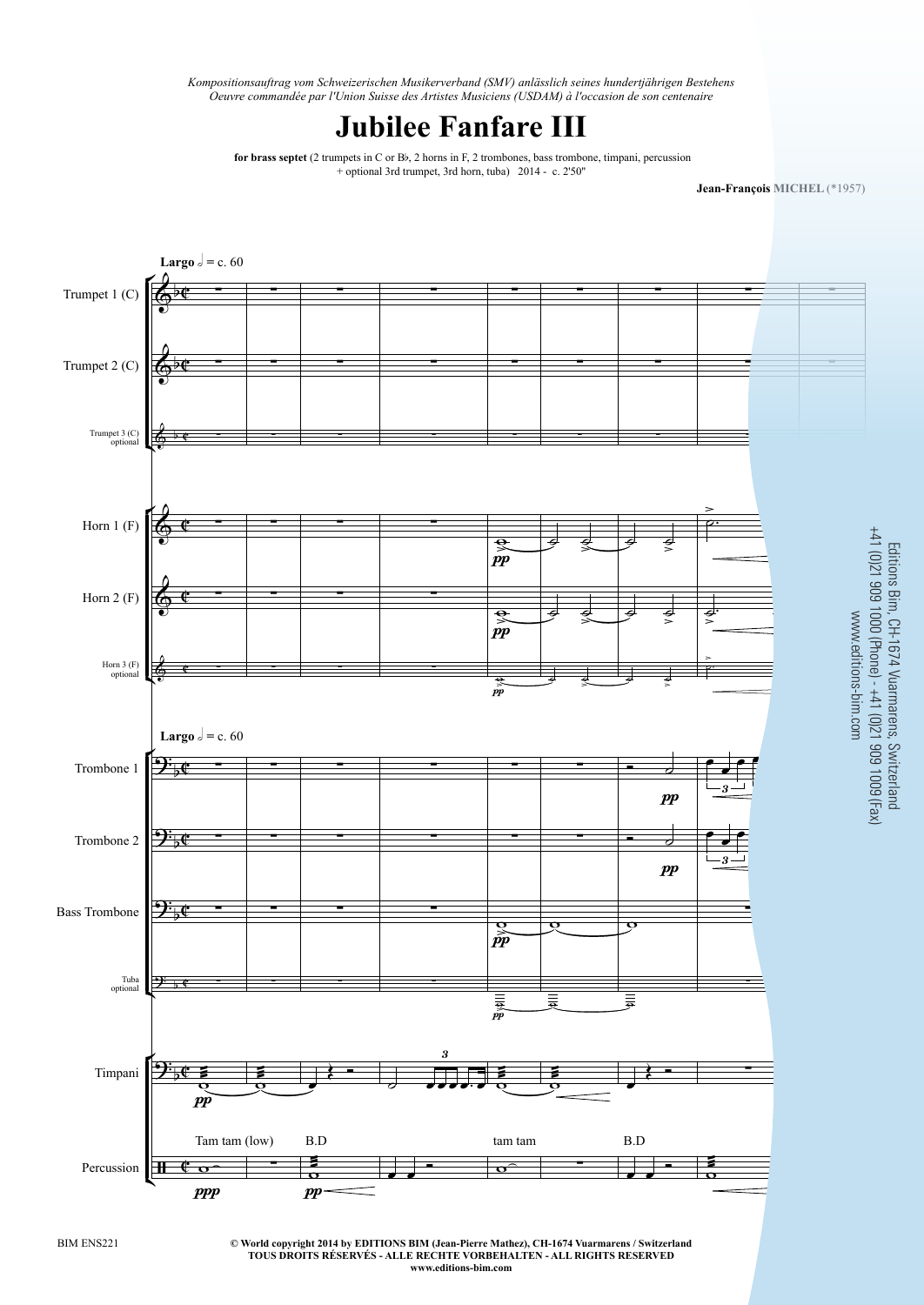*Kompositionsauftrag vom Schweizerischen Musikerverband (SMV) anlässlich seines hundertjährigen BestehensOeuvre commandée par l'Union Suisse des Artistes Musiciens (USDAM) à l'occasion de son centenaire*

## **Jubilee Fanfare III**

 **for brass septet** (2 trumpets in C or Bb, 2 horns in F, 2 trombones, bass trombone, timpani, percussion + optional 3rd trumpet, 3rd horn, tuba) 2014 - c. 2'50''

**Jean-François MICHEL** (\*1957)



**<sup>©</sup> World copyright 2014 by EDITIONS BIM (Jean-Pierre Mathez), CH-1674 Vuarmarens / SwitzerlandTOUS DROITS RÉSERVÉS - ALLE RECHTE VORBEHALTEN - ALL RIGHTS RESERVEDwww.editions-bim.com**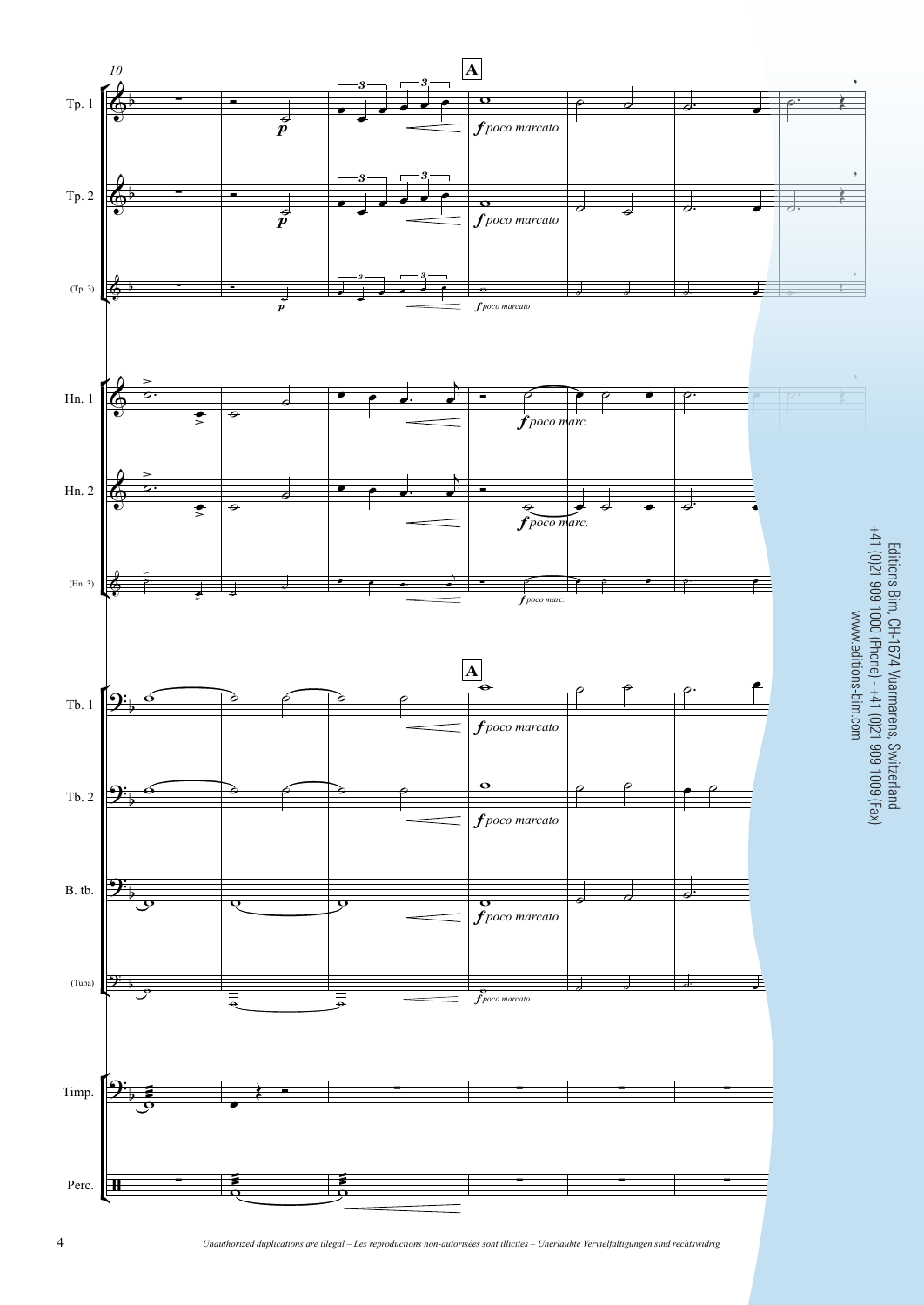

 $\overline{z}$  $\frac{3}{5}$   $\frac{4}{5}$   $\frac{1}{5}$   $\frac{2}{5}$ , Editions Bim, CH-1674 Vuarmarens, Switzerland +41 (0)21 909 1000 (Phone) - +41 (0)21 909 1009 (Fax)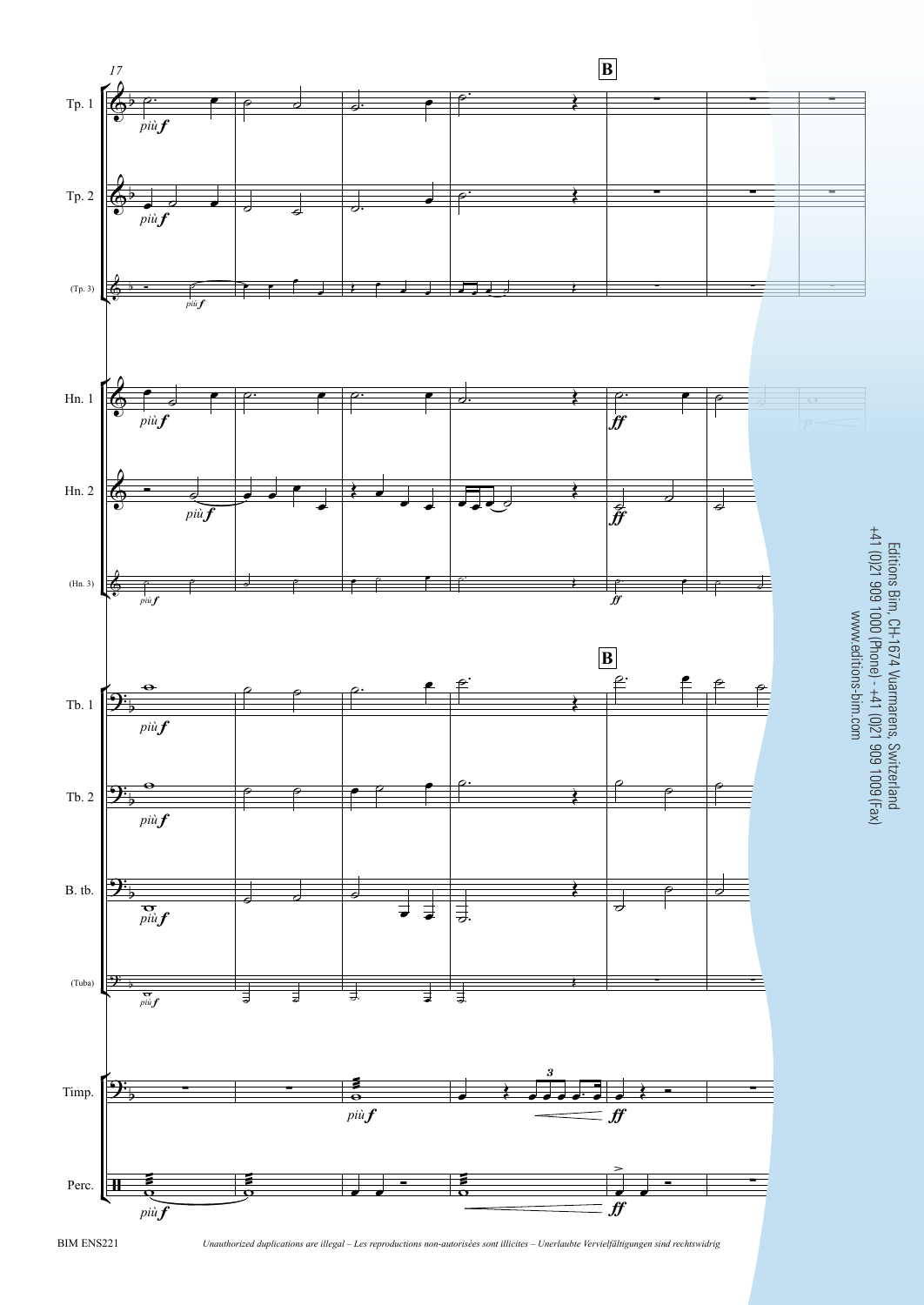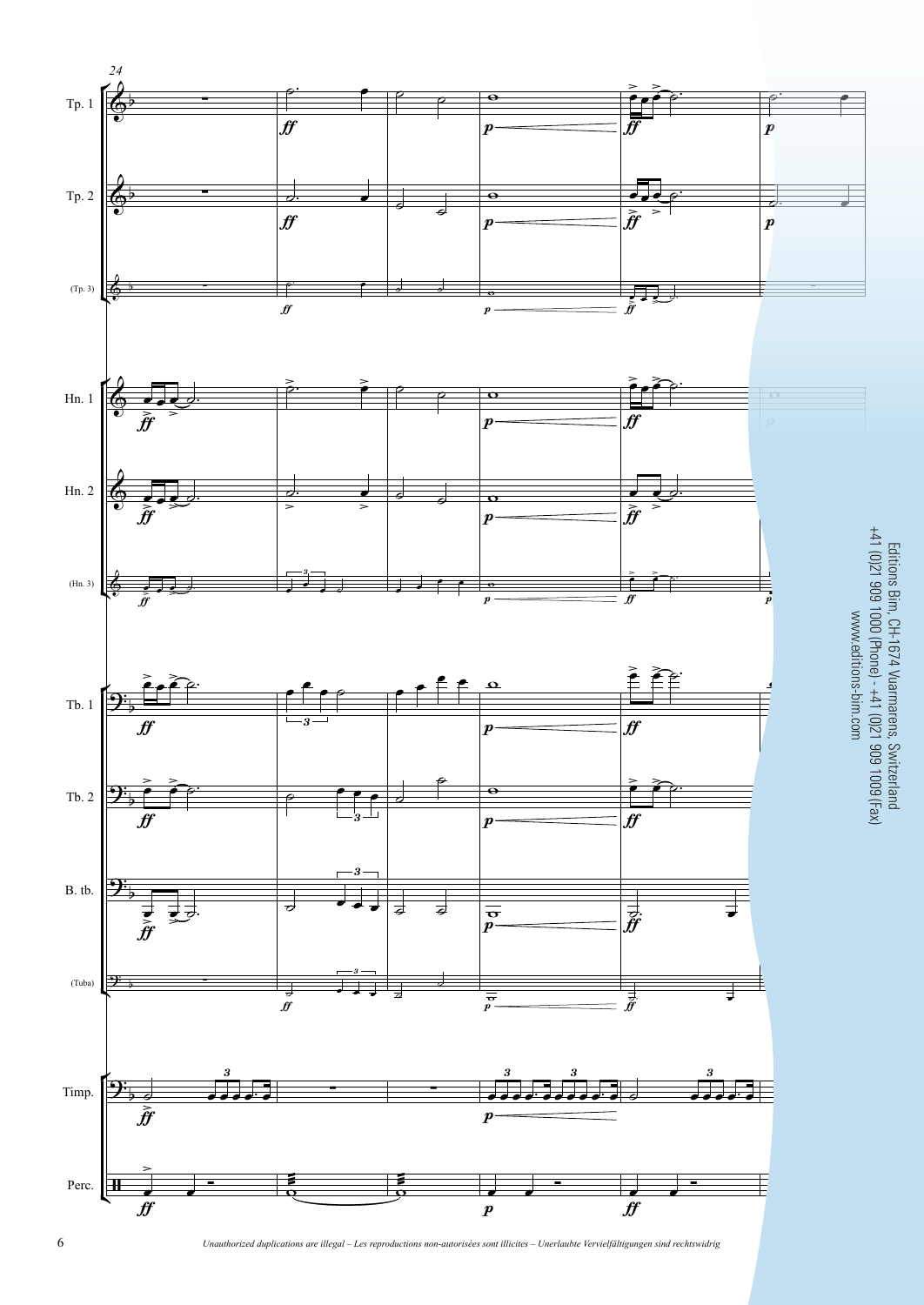

*Unauthorized duplications are illegal – Les reproductions non-autorisées sont illicites – Unerlaubte Vervielfältigungen sind rechtswidrig*